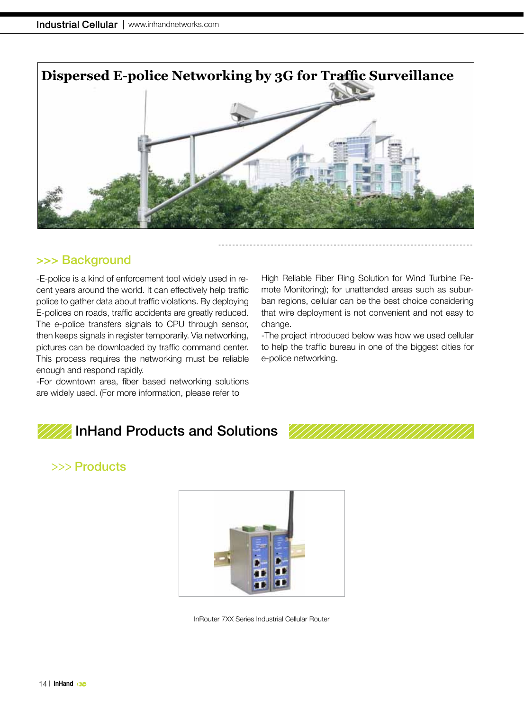

### >>> Background

-E-police is a kind of enforcement tool widely used in recent years around the world. It can effectively help traffic police to gather data about traffic violations. By deploying E-polices on roads, traffic accidents are greatly reduced. The e-police transfers signals to CPU through sensor, then keeps signals in register temporarily. Via networking, pictures can be downloaded by traffic command center. This process requires the networking must be reliable enough and respond rapidly.

-For downtown area, fiber based networking solutions are widely used. (For more information, please refer to

High Reliable Fiber Ring Solution for Wind Turbine Remote Monitoring); for unattended areas such as suburban regions, cellular can be the best choice considering that wire deployment is not convenient and not easy to change.

-The project introduced below was how we used cellular to help the traffic bureau in one of the biggest cities for e-police networking.

# InHand Products and Solutions

# >>> Products



InRouter 7XX Series Industrial Cellular Router